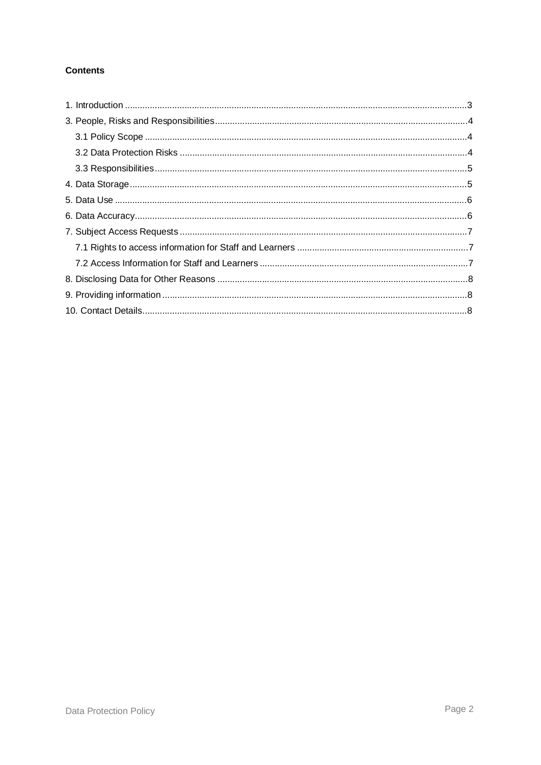## **Contents**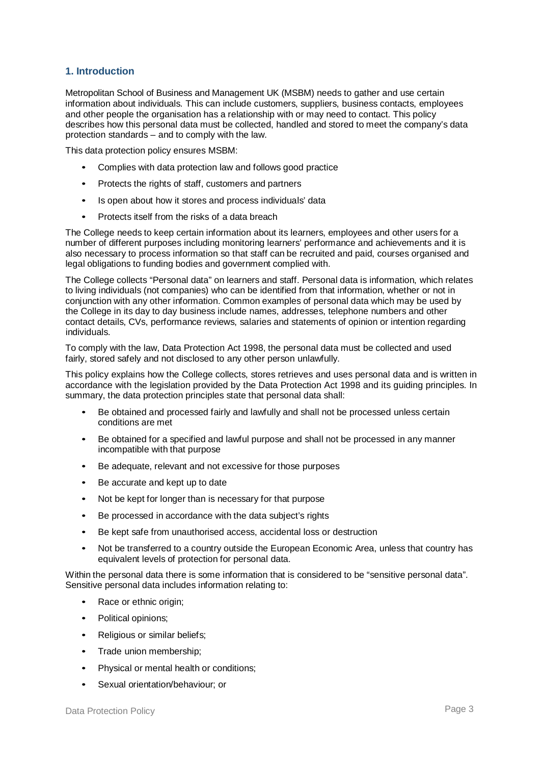#### **1. Introduction**

Metropolitan School of Business and Management UK (MSBM) needs to gather and use certain information about individuals. This can include customers, suppliers, business contacts, employees and other people the organisation has a relationship with or may need to contact. This policy describes how this personal data must be collected, handled and stored to meet the company's data protection standards – and to comply with the law.

This data protection policy ensures MSBM:

- Complies with data protection law and follows good practice
- Protects the rights of staff, customers and partners
- Is open about how it stores and process individuals' data
- Protects itself from the risks of a data breach

The College needs to keep certain information about its learners, employees and other users for a number of different purposes including monitoring learners' performance and achievements and it is also necessary to process information so that staff can be recruited and paid, courses organised and legal obligations to funding bodies and government complied with.

The College collects "Personal data" on learners and staff. Personal data is information, which relates to living individuals (not companies) who can be identified from that information, whether or not in conjunction with any other information. Common examples of personal data which may be used by the College in its day to day business include names, addresses, telephone numbers and other contact details, CVs, performance reviews, salaries and statements of opinion or intention regarding individuals.

To comply with the law, Data Protection Act 1998, the personal data must be collected and used fairly, stored safely and not disclosed to any other person unlawfully.

This policy explains how the College collects, stores retrieves and uses personal data and is written in accordance with the legislation provided by the Data Protection Act 1998 and its guiding principles. In summary, the data protection principles state that personal data shall:

- Be obtained and processed fairly and lawfully and shall not be processed unless certain conditions are met
- Be obtained for a specified and lawful purpose and shall not be processed in any manner incompatible with that purpose
- Be adequate, relevant and not excessive for those purposes
- Be accurate and kept up to date
- Not be kept for longer than is necessary for that purpose
- Be processed in accordance with the data subject's rights
- Be kept safe from unauthorised access, accidental loss or destruction
- Not be transferred to a country outside the European Economic Area, unless that country has equivalent levels of protection for personal data.

Within the personal data there is some information that is considered to be "sensitive personal data". Sensitive personal data includes information relating to:

- Race or ethnic origin:
- Political opinions;
- Religious or similar beliefs;
- Trade union membership;
- Physical or mental health or conditions;
- Sexual orientation/behaviour; or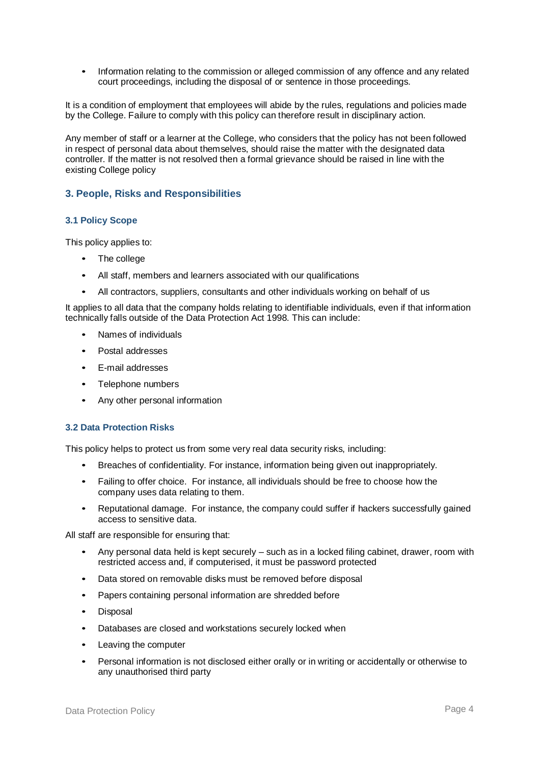• Information relating to the commission or alleged commission of any offence and any related court proceedings, including the disposal of or sentence in those proceedings.

It is a condition of employment that employees will abide by the rules, regulations and policies made by the College. Failure to comply with this policy can therefore result in disciplinary action.

Any member of staff or a learner at the College, who considers that the policy has not been followed in respect of personal data about themselves, should raise the matter with the designated data controller. If the matter is not resolved then a formal grievance should be raised in line with the existing College policy

#### **3. People, Risks and Responsibilities**

#### **3.1 Policy Scope**

This policy applies to:

- The college
- All staff, members and learners associated with our qualifications
- All contractors, suppliers, consultants and other individuals working on behalf of us

It applies to all data that the company holds relating to identifiable individuals, even if that information technically falls outside of the Data Protection Act 1998. This can include:

- Names of individuals
- Postal addresses
- E-mail addresses
- Telephone numbers
- Any other personal information

#### **3.2 Data Protection Risks**

This policy helps to protect us from some very real data security risks, including:

- Breaches of confidentiality. For instance, information being given out inappropriately.
- Failing to offer choice. For instance, all individuals should be free to choose how the company uses data relating to them.
- Reputational damage. For instance, the company could suffer if hackers successfully gained access to sensitive data.

All staff are responsible for ensuring that:

- Any personal data held is kept securely such as in a locked filing cabinet, drawer, room with restricted access and, if computerised, it must be password protected
- Data stored on removable disks must be removed before disposal
- Papers containing personal information are shredded before
- Disposal
- Databases are closed and workstations securely locked when
- Leaving the computer
- Personal information is not disclosed either orally or in writing or accidentally or otherwise to any unauthorised third party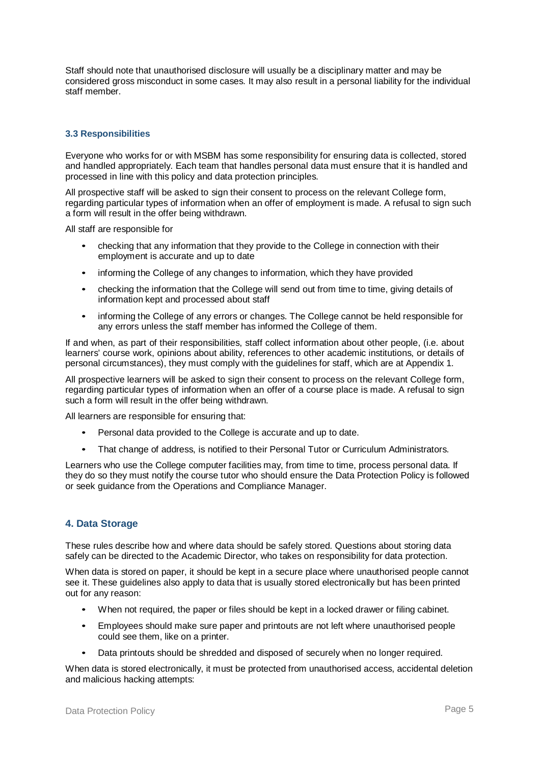Staff should note that unauthorised disclosure will usually be a disciplinary matter and may be considered gross misconduct in some cases. It may also result in a personal liability for the individual staff member.

#### **3.3 Responsibilities**

Everyone who works for or with MSBM has some responsibility for ensuring data is collected, stored and handled appropriately. Each team that handles personal data must ensure that it is handled and processed in line with this policy and data protection principles.

All prospective staff will be asked to sign their consent to process on the relevant College form, regarding particular types of information when an offer of employment is made. A refusal to sign such a form will result in the offer being withdrawn.

All staff are responsible for

- checking that any information that they provide to the College in connection with their employment is accurate and up to date
- informing the College of any changes to information, which they have provided
- checking the information that the College will send out from time to time, giving details of information kept and processed about staff
- informing the College of any errors or changes. The College cannot be held responsible for any errors unless the staff member has informed the College of them.

If and when, as part of their responsibilities, staff collect information about other people, (i.e. about learners' course work, opinions about ability, references to other academic institutions, or details of personal circumstances), they must comply with the guidelines for staff, which are at Appendix 1.

All prospective learners will be asked to sign their consent to process on the relevant College form, regarding particular types of information when an offer of a course place is made. A refusal to sign such a form will result in the offer being withdrawn.

All learners are responsible for ensuring that:

- Personal data provided to the College is accurate and up to date.
- That change of address, is notified to their Personal Tutor or Curriculum Administrators.

Learners who use the College computer facilities may, from time to time, process personal data. If they do so they must notify the course tutor who should ensure the Data Protection Policy is followed or seek guidance from the Operations and Compliance Manager.

#### **4. Data Storage**

These rules describe how and where data should be safely stored. Questions about storing data safely can be directed to the Academic Director, who takes on responsibility for data protection.

When data is stored on paper, it should be kept in a secure place where unauthorised people cannot see it. These guidelines also apply to data that is usually stored electronically but has been printed out for any reason:

- When not required, the paper or files should be kept in a locked drawer or filing cabinet.
- Employees should make sure paper and printouts are not left where unauthorised people could see them, like on a printer.
- Data printouts should be shredded and disposed of securely when no longer required.

When data is stored electronically, it must be protected from unauthorised access, accidental deletion and malicious hacking attempts: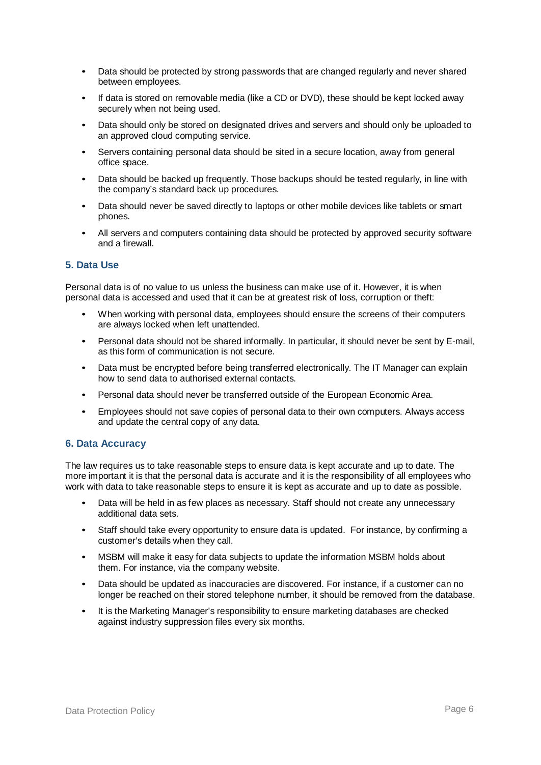- Data should be protected by strong passwords that are changed regularly and never shared between employees.
- If data is stored on removable media (like a CD or DVD), these should be kept locked away securely when not being used.
- Data should only be stored on designated drives and servers and should only be uploaded to an approved cloud computing service.
- Servers containing personal data should be sited in a secure location, away from general office space.
- Data should be backed up frequently. Those backups should be tested regularly, in line with the company's standard back up procedures.
- Data should never be saved directly to laptops or other mobile devices like tablets or smart phones.
- All servers and computers containing data should be protected by approved security software and a firewall.

#### **5. Data Use**

Personal data is of no value to us unless the business can make use of it. However, it is when personal data is accessed and used that it can be at greatest risk of loss, corruption or theft:

- When working with personal data, employees should ensure the screens of their computers are always locked when left unattended.
- Personal data should not be shared informally. In particular, it should never be sent by E-mail, as this form of communication is not secure.
- Data must be encrypted before being transferred electronically. The IT Manager can explain how to send data to authorised external contacts.
- Personal data should never be transferred outside of the European Economic Area.
- Employees should not save copies of personal data to their own computers. Always access and update the central copy of any data.

#### **6. Data Accuracy**

The law requires us to take reasonable steps to ensure data is kept accurate and up to date. The more important it is that the personal data is accurate and it is the responsibility of all employees who work with data to take reasonable steps to ensure it is kept as accurate and up to date as possible.

- Data will be held in as few places as necessary. Staff should not create any unnecessary additional data sets.
- Staff should take every opportunity to ensure data is updated. For instance, by confirming a customer's details when they call.
- MSBM will make it easy for data subjects to update the information MSBM holds about them. For instance, via the company website.
- Data should be updated as inaccuracies are discovered. For instance, if a customer can no longer be reached on their stored telephone number, it should be removed from the database.
- It is the Marketing Manager's responsibility to ensure marketing databases are checked against industry suppression files every six months.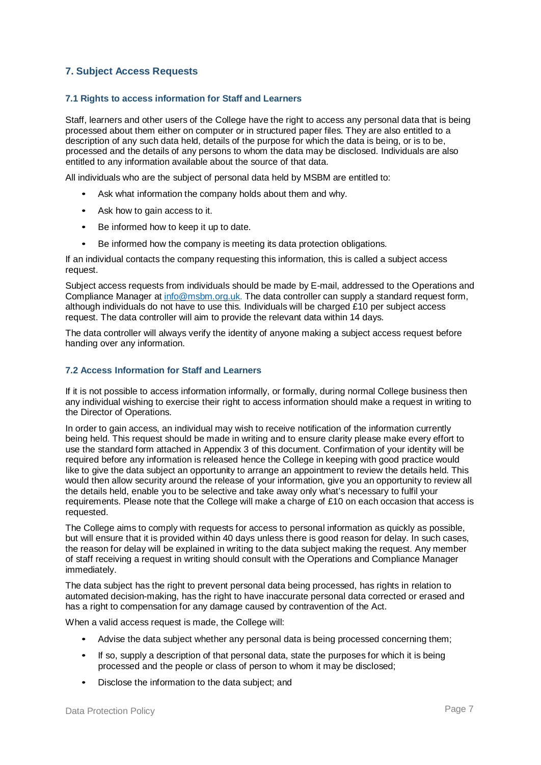### **7. Subject Access Requests**

#### **7.1 Rights to access information for Staff and Learners**

Staff, learners and other users of the College have the right to access any personal data that is being processed about them either on computer or in structured paper files. They are also entitled to a description of any such data held, details of the purpose for which the data is being, or is to be, processed and the details of any persons to whom the data may be disclosed. Individuals are also entitled to any information available about the source of that data.

All individuals who are the subject of personal data held by MSBM are entitled to:

- Ask what information the company holds about them and why.
- Ask how to gain access to it.
- Be informed how to keep it up to date.
- Be informed how the company is meeting its data protection obligations.

If an individual contacts the company requesting this information, this is called a subject access request.

Subject access requests from individuals should be made by E-mail, addressed to the Operations and Compliance Manager at [info@msbm.org.uk.](mailto:data@lqa.org.uk) The data controller can supply a standard request form, although individuals do not have to use this. Individuals will be charged £10 per subject access request. The data controller will aim to provide the relevant data within 14 days.

The data controller will always verify the identity of anyone making a subject access request before handing over any information.

#### **7.2 Access Information for Staff and Learners**

If it is not possible to access information informally, or formally, during normal College business then any individual wishing to exercise their right to access information should make a request in writing to the Director of Operations.

In order to gain access, an individual may wish to receive notification of the information currently being held. This request should be made in writing and to ensure clarity please make every effort to use the standard form attached in Appendix 3 of this document. Confirmation of your identity will be required before any information is released hence the College in keeping with good practice would like to give the data subject an opportunity to arrange an appointment to review the details held. This would then allow security around the release of your information, give you an opportunity to review all the details held, enable you to be selective and take away only what's necessary to fulfil your requirements. Please note that the College will make a charge of £10 on each occasion that access is requested.

The College aims to comply with requests for access to personal information as quickly as possible, but will ensure that it is provided within 40 days unless there is good reason for delay. In such cases, the reason for delay will be explained in writing to the data subject making the request. Any member of staff receiving a request in writing should consult with the Operations and Compliance Manager immediately.

The data subject has the right to prevent personal data being processed, has rights in relation to automated decision-making, has the right to have inaccurate personal data corrected or erased and has a right to compensation for any damage caused by contravention of the Act.

When a valid access request is made, the College will:

- Advise the data subject whether any personal data is being processed concerning them;
- If so, supply a description of that personal data, state the purposes for which it is being processed and the people or class of person to whom it may be disclosed;
- Disclose the information to the data subject; and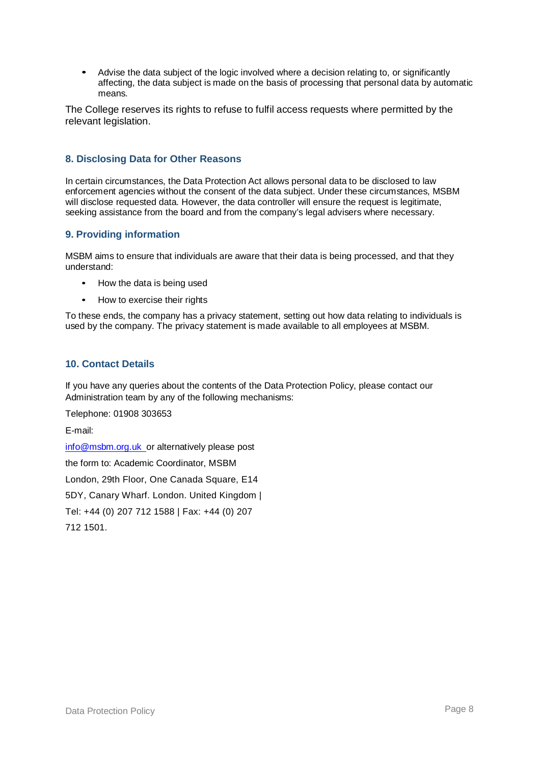• Advise the data subject of the logic involved where a decision relating to, or significantly affecting, the data subject is made on the basis of processing that personal data by automatic means.

The College reserves its rights to refuse to fulfil access requests where permitted by the relevant legislation.

#### **8. Disclosing Data for Other Reasons**

In certain circumstances, the Data Protection Act allows personal data to be disclosed to law enforcement agencies without the consent of the data subject. Under these circumstances, MSBM will disclose requested data. However, the data controller will ensure the request is legitimate, seeking assistance from the board and from the company's legal advisers where necessary.

#### **9. Providing information**

MSBM aims to ensure that individuals are aware that their data is being processed, and that they understand:

- How the data is being used
- How to exercise their rights

To these ends, the company has a privacy statement, setting out how data relating to individuals is used by the company. The privacy statement is made available to all employees at MSBM.

#### **10. Contact Details**

If you have any queries about the contents of the Data Protection Policy, please contact our Administration team by any of the following mechanisms:

Telephone: 01908 303653

E-mail:

[info@msbm.org.uk o](mailto:info@msbm.org.uk)r alternatively please post the form to: Academic Coordinator, MSBM London, 29th Floor, One Canada Square, E14 5DY, Canary Wharf. London. United Kingdom | Tel: +44 (0) 207 712 1588 | Fax: +44 (0) 207 712 1501.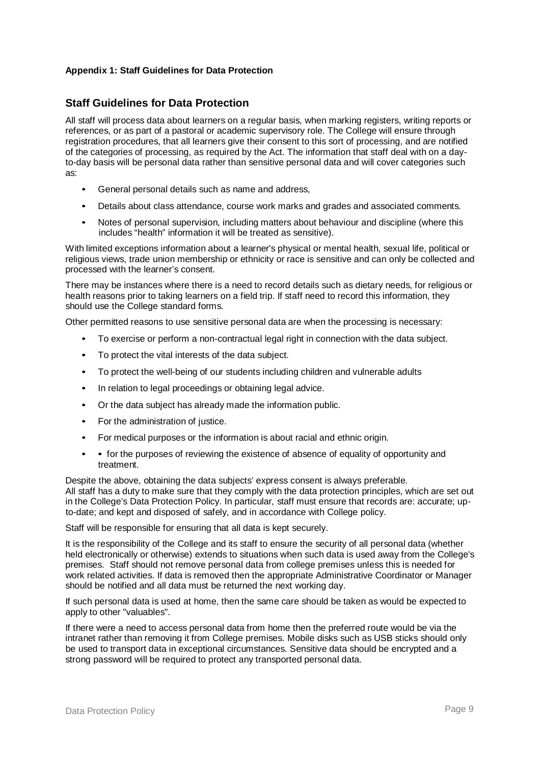#### **Appendix 1: Staff Guidelines for Data Protection**

## **Staff Guidelines for Data Protection**

All staff will process data about learners on a regular basis, when marking registers, writing reports or references, or as part of a pastoral or academic supervisory role. The College will ensure through registration procedures, that all learners give their consent to this sort of processing, and are notified of the categories of processing, as required by the Act. The information that staff deal with on a dayto-day basis will be personal data rather than sensitive personal data and will cover categories such as:

- General personal details such as name and address,
- Details about class attendance, course work marks and grades and associated comments.
- Notes of personal supervision, including matters about behaviour and discipline (where this includes "health" information it will be treated as sensitive).

With limited exceptions information about a learner's physical or mental health, sexual life, political or religious views, trade union membership or ethnicity or race is sensitive and can only be collected and processed with the learner's consent.

There may be instances where there is a need to record details such as dietary needs, for religious or health reasons prior to taking learners on a field trip. If staff need to record this information, they should use the College standard forms.

Other permitted reasons to use sensitive personal data are when the processing is necessary:

- To exercise or perform a non-contractual legal right in connection with the data subject.
- To protect the vital interests of the data subject.
- To protect the well-being of our students including children and vulnerable adults
- In relation to legal proceedings or obtaining legal advice.
- Or the data subject has already made the information public.
- For the administration of justice.
- For medical purposes or the information is about racial and ethnic origin.
- for the purposes of reviewing the existence of absence of equality of opportunity and treatment.

Despite the above, obtaining the data subjects' express consent is always preferable. All staff has a duty to make sure that they comply with the data protection principles, which are set out in the College's Data Protection Policy. In particular, staff must ensure that records are: accurate; upto-date; and kept and disposed of safely, and in accordance with College policy.

Staff will be responsible for ensuring that all data is kept securely.

It is the responsibility of the College and its staff to ensure the security of all personal data (whether held electronically or otherwise) extends to situations when such data is used away from the College's premises. Staff should not remove personal data from college premises unless this is needed for work related activities. If data is removed then the appropriate Administrative Coordinator or Manager should be notified and all data must be returned the next working day.

If such personal data is used at home, then the same care should be taken as would be expected to apply to other "valuables".

If there were a need to access personal data from home then the preferred route would be via the intranet rather than removing it from College premises. Mobile disks such as USB sticks should only be used to transport data in exceptional circumstances. Sensitive data should be encrypted and a strong password will be required to protect any transported personal data.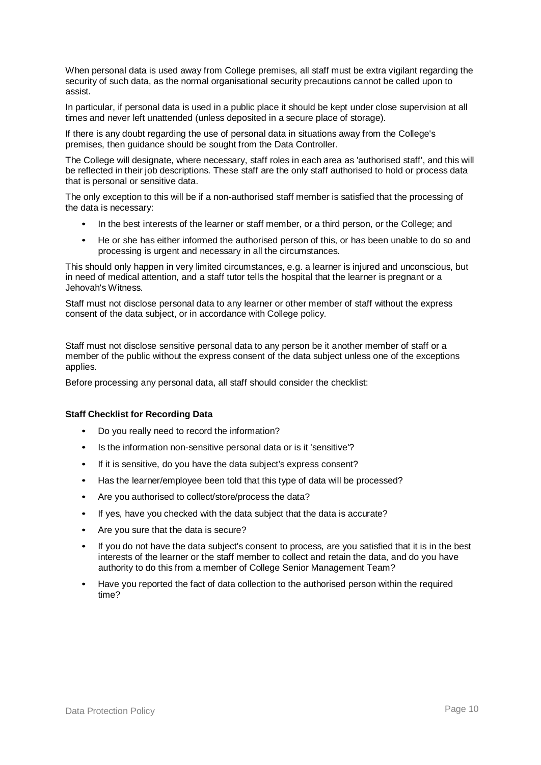When personal data is used away from College premises, all staff must be extra vigilant regarding the security of such data, as the normal organisational security precautions cannot be called upon to assist.

In particular, if personal data is used in a public place it should be kept under close supervision at all times and never left unattended (unless deposited in a secure place of storage).

If there is any doubt regarding the use of personal data in situations away from the College's premises, then guidance should be sought from the Data Controller.

The College will designate, where necessary, staff roles in each area as 'authorised staff', and this will be reflected in their job descriptions. These staff are the only staff authorised to hold or process data that is personal or sensitive data.

The only exception to this will be if a non-authorised staff member is satisfied that the processing of the data is necessary:

- In the best interests of the learner or staff member, or a third person, or the College; and
- He or she has either informed the authorised person of this, or has been unable to do so and processing is urgent and necessary in all the circumstances.

This should only happen in very limited circumstances, e.g. a learner is injured and unconscious, but in need of medical attention, and a staff tutor tells the hospital that the learner is pregnant or a Jehovah's Witness.

Staff must not disclose personal data to any learner or other member of staff without the express consent of the data subject, or in accordance with College policy.

Staff must not disclose sensitive personal data to any person be it another member of staff or a member of the public without the express consent of the data subject unless one of the exceptions applies.

Before processing any personal data, all staff should consider the checklist:

#### **Staff Checklist for Recording Data**

- Do you really need to record the information?
- Is the information non-sensitive personal data or is it 'sensitive'?
- If it is sensitive, do you have the data subject's express consent?
- Has the learner/employee been told that this type of data will be processed?
- Are you authorised to collect/store/process the data?
- If yes, have you checked with the data subject that the data is accurate?
- Are you sure that the data is secure?
- If you do not have the data subject's consent to process, are you satisfied that it is in the best interests of the learner or the staff member to collect and retain the data, and do you have authority to do this from a member of College Senior Management Team?
- Have you reported the fact of data collection to the authorised person within the required time?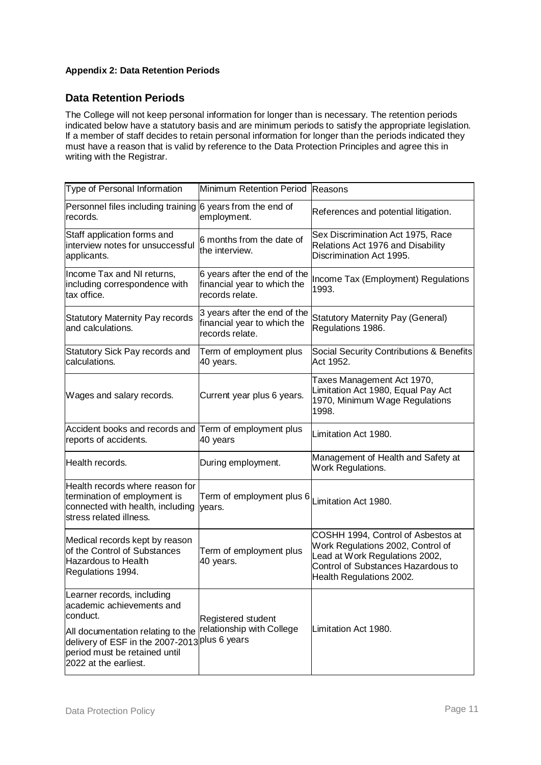## **Appendix 2: Data Retention Periods**

# **Data Retention Periods**

The College will not keep personal information for longer than is necessary. The retention periods indicated below have a statutory basis and are minimum periods to satisfy the appropriate legislation. If a member of staff decides to retain personal information for longer than the periods indicated they must have a reason that is valid by reference to the Data Protection Principles and agree this in writing with the Registrar.

| Type of Personal Information                                                                                                                                                                                                   | Minimum Retention Period Reasons                                               |                                                                                                                                                                             |  |
|--------------------------------------------------------------------------------------------------------------------------------------------------------------------------------------------------------------------------------|--------------------------------------------------------------------------------|-----------------------------------------------------------------------------------------------------------------------------------------------------------------------------|--|
| Personnel files including training<br>records.                                                                                                                                                                                 | 6 years from the end of<br>employment.                                         | References and potential litigation.                                                                                                                                        |  |
| Staff application forms and<br>interview notes for unsuccessful<br>applicants.                                                                                                                                                 | 6 months from the date of<br>the interview.                                    | Sex Discrimination Act 1975, Race<br>Relations Act 1976 and Disability<br>Discrimination Act 1995.                                                                          |  |
| Income Tax and NI returns,<br>including correspondence with<br>tax office.                                                                                                                                                     | 6 years after the end of the<br>financial year to which the<br>records relate. | Income Tax (Employment) Regulations<br>1993.                                                                                                                                |  |
| <b>Statutory Maternity Pay records</b><br>and calculations.                                                                                                                                                                    | 3 years after the end of the<br>financial year to which the<br>records relate. | <b>Statutory Maternity Pay (General)</b><br>Regulations 1986.                                                                                                               |  |
| Statutory Sick Pay records and<br>calculations.                                                                                                                                                                                | Term of employment plus<br>40 years.                                           | Social Security Contributions & Benefits<br>Act 1952.                                                                                                                       |  |
| Wages and salary records.                                                                                                                                                                                                      | Current year plus 6 years.                                                     | Taxes Management Act 1970,<br>Limitation Act 1980, Equal Pay Act<br>1970, Minimum Wage Regulations<br>1998.                                                                 |  |
| Accident books and records and<br>reports of accidents.                                                                                                                                                                        | Term of employment plus<br>40 years                                            | Limitation Act 1980.                                                                                                                                                        |  |
| Health records.                                                                                                                                                                                                                | During employment.                                                             | Management of Health and Safety at<br>Work Regulations.                                                                                                                     |  |
| Health records where reason for<br>termination of employment is<br>connected with health, including<br>stress related illness.                                                                                                 | Term of employment plus 6 Limitation Act 1980.<br>years.                       |                                                                                                                                                                             |  |
| Medical records kept by reason<br>of the Control of Substances<br><b>Hazardous to Health</b><br>Regulations 1994.                                                                                                              | Term of employment plus<br>40 years.                                           | COSHH 1994, Control of Asbestos at<br>Work Regulations 2002, Control of<br>Lead at Work Regulations 2002,<br>Control of Substances Hazardous to<br>Health Regulations 2002. |  |
| Learner records, including<br>academic achievements and<br>conduct.<br>All documentation relating to the<br>delivery of ESF in the 2007-2013 <sup>plus 6</sup> years<br>period must be retained until<br>2022 at the earliest. | Registered student<br>relationship with College                                | Limitation Act 1980.                                                                                                                                                        |  |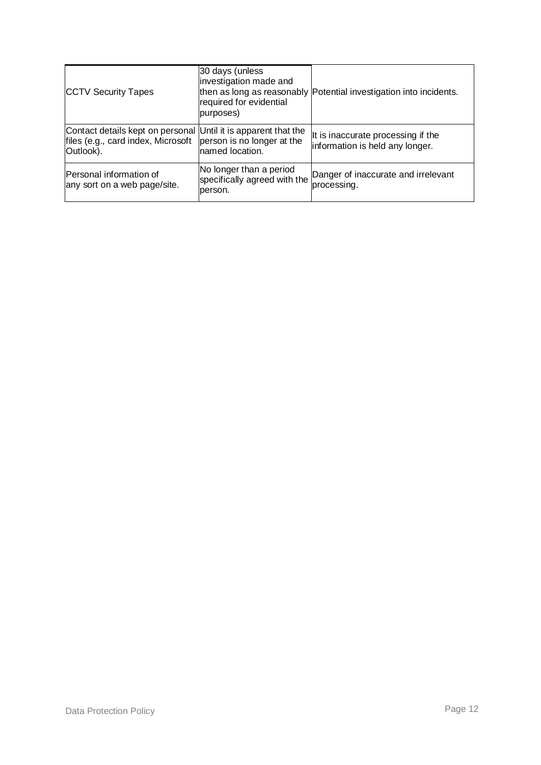| <b>CCTV Security Tapes</b>                                                                                        | 30 days (unless<br>investigation made and<br>required for evidential<br>purposes) | then as long as reasonably Potential investigation into incidents.    |
|-------------------------------------------------------------------------------------------------------------------|-----------------------------------------------------------------------------------|-----------------------------------------------------------------------|
| Contact details kept on personal Until it is apparent that the<br>files (e.g., card index, Microsoft<br>Outlook). | person is no longer at the<br>named location.                                     | It is inaccurate processing if the<br>information is held any longer. |
| Personal information of<br>any sort on a web page/site.                                                           | No longer than a period<br>specifically agreed with the<br>person.                | Danger of inaccurate and irrelevant<br>processing.                    |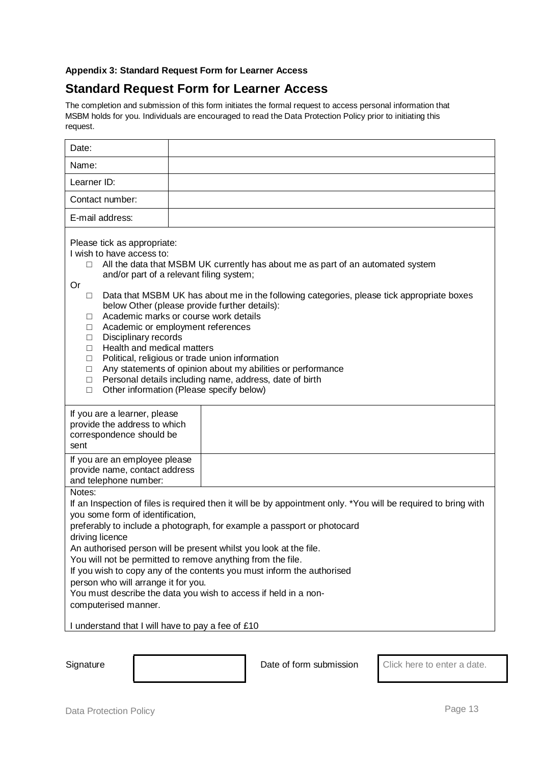#### **Appendix 3: Standard Request Form for Learner Access**

# **Standard Request Form for Learner Access**

The completion and submission of this form initiates the formal request to access personal information that MSBM holds for you. Individuals are encouraged to read the Data Protection Policy prior to initiating this request.

| Date:                                                                                                                                                                                                                                                                                                                                                                                                                                                                                                                                                                                                                                                                                                                                                                                    |  |  |  |
|------------------------------------------------------------------------------------------------------------------------------------------------------------------------------------------------------------------------------------------------------------------------------------------------------------------------------------------------------------------------------------------------------------------------------------------------------------------------------------------------------------------------------------------------------------------------------------------------------------------------------------------------------------------------------------------------------------------------------------------------------------------------------------------|--|--|--|
| Name:                                                                                                                                                                                                                                                                                                                                                                                                                                                                                                                                                                                                                                                                                                                                                                                    |  |  |  |
| Learner ID:                                                                                                                                                                                                                                                                                                                                                                                                                                                                                                                                                                                                                                                                                                                                                                              |  |  |  |
| Contact number:                                                                                                                                                                                                                                                                                                                                                                                                                                                                                                                                                                                                                                                                                                                                                                          |  |  |  |
| E-mail address:                                                                                                                                                                                                                                                                                                                                                                                                                                                                                                                                                                                                                                                                                                                                                                          |  |  |  |
| Please tick as appropriate:<br>I wish to have access to:<br>All the data that MSBM UK currently has about me as part of an automated system<br>$\Box$<br>and/or part of a relevant filing system;<br>Or<br>Data that MSBM UK has about me in the following categories, please tick appropriate boxes<br>$\Box$<br>below Other (please provide further details):<br>Academic marks or course work details<br>$\Box$<br>Academic or employment references<br>$\Box$<br>Disciplinary records<br>□<br>Health and medical matters<br>□<br>Political, religious or trade union information<br>□<br>Any statements of opinion about my abilities or performance<br>□<br>Personal details including name, address, date of birth<br>$\Box$<br>Other information (Please specify below)<br>$\Box$ |  |  |  |
| If you are a learner, please<br>provide the address to which<br>correspondence should be<br>sent                                                                                                                                                                                                                                                                                                                                                                                                                                                                                                                                                                                                                                                                                         |  |  |  |
| If you are an employee please<br>provide name, contact address<br>and telephone number:                                                                                                                                                                                                                                                                                                                                                                                                                                                                                                                                                                                                                                                                                                  |  |  |  |
| Notes:<br>If an Inspection of files is required then it will be by appointment only. *You will be required to bring with<br>you some form of identification,<br>preferably to include a photograph, for example a passport or photocard<br>driving licence<br>An authorised person will be present whilst you look at the file.<br>You will not be permitted to remove anything from the file.<br>If you wish to copy any of the contents you must inform the authorised<br>person who will arrange it for you.<br>You must describe the data you wish to access if held in a non-<br>computerised manner.<br>I understand that I will have to pay a fee of £10                                                                                                                          |  |  |  |

Signature **Date of form submission** Click here to enter a date.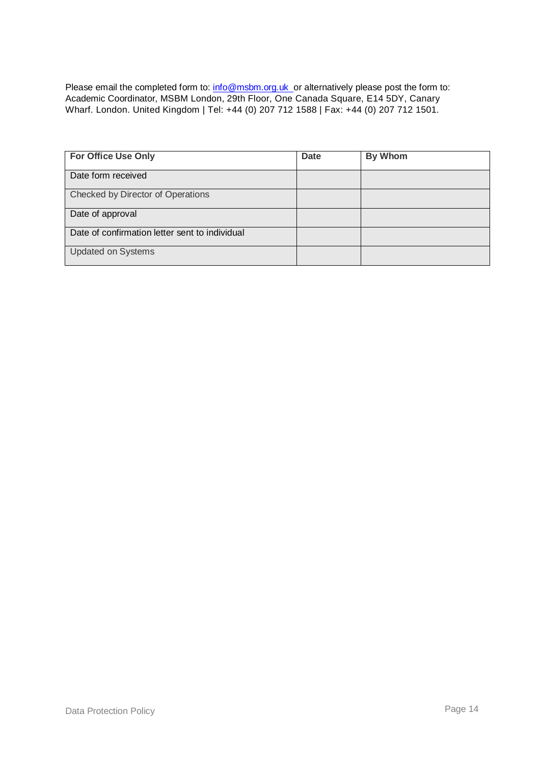Please email the completed form to: [info@msbm.org.uk o](mailto:info@msbm.org.uk)r alternatively please post the form to: Academic Coordinator, MSBM London, 29th Floor, One Canada Square, E14 5DY, Canary Wharf. London. United Kingdom | Tel: +44 (0) 207 712 1588 | Fax: +44 (0) 207 712 1501.

| For Office Use Only                            | <b>Date</b> | <b>By Whom</b> |
|------------------------------------------------|-------------|----------------|
| Date form received                             |             |                |
| Checked by Director of Operations              |             |                |
| Date of approval                               |             |                |
| Date of confirmation letter sent to individual |             |                |
| <b>Updated on Systems</b>                      |             |                |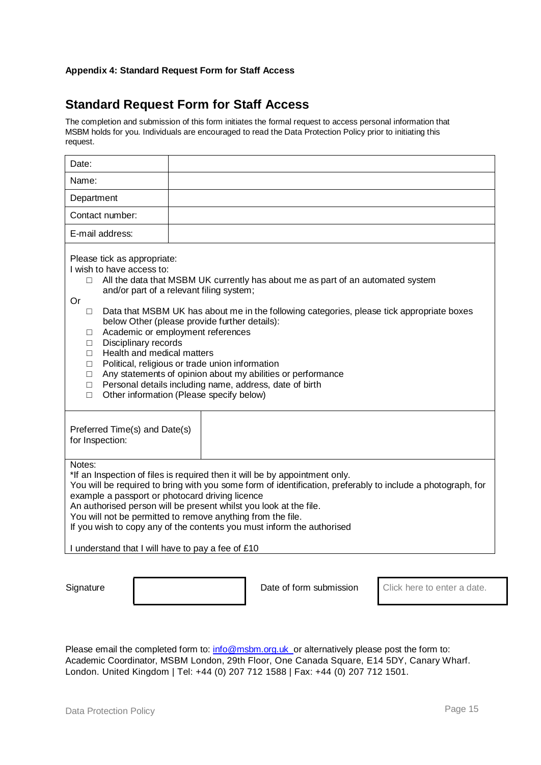#### **Appendix 4: Standard Request Form for Staff Access**

# **Standard Request Form for Staff Access**

The completion and submission of this form initiates the formal request to access personal information that MSBM holds for you. Individuals are encouraged to read the Data Protection Policy prior to initiating this request.

| Date:                                                                                                                                                                                           |                                                                                                                                                                                                                                                                                                                                                                                                                                                                                                                                         |
|-------------------------------------------------------------------------------------------------------------------------------------------------------------------------------------------------|-----------------------------------------------------------------------------------------------------------------------------------------------------------------------------------------------------------------------------------------------------------------------------------------------------------------------------------------------------------------------------------------------------------------------------------------------------------------------------------------------------------------------------------------|
| Name:                                                                                                                                                                                           |                                                                                                                                                                                                                                                                                                                                                                                                                                                                                                                                         |
| Department                                                                                                                                                                                      |                                                                                                                                                                                                                                                                                                                                                                                                                                                                                                                                         |
| Contact number:                                                                                                                                                                                 |                                                                                                                                                                                                                                                                                                                                                                                                                                                                                                                                         |
| E-mail address:                                                                                                                                                                                 |                                                                                                                                                                                                                                                                                                                                                                                                                                                                                                                                         |
| Please tick as appropriate:<br>I wish to have access to:<br>П<br>Or<br>П<br>□<br>Disciplinary records<br>$\Box$<br>Health and medical matters<br>$\Box$<br>$\Box$<br>$\Box$<br>$\Box$<br>$\Box$ | All the data that MSBM UK currently has about me as part of an automated system<br>and/or part of a relevant filing system;<br>Data that MSBM UK has about me in the following categories, please tick appropriate boxes<br>below Other (please provide further details):<br>Academic or employment references<br>Political, religious or trade union information<br>Any statements of opinion about my abilities or performance<br>Personal details including name, address, date of birth<br>Other information (Please specify below) |
| Preferred Time(s) and Date(s)<br>for Inspection:                                                                                                                                                |                                                                                                                                                                                                                                                                                                                                                                                                                                                                                                                                         |
| Notes:<br>I understand that I will have to pay a fee of £10                                                                                                                                     | *If an Inspection of files is required then it will be by appointment only.<br>You will be required to bring with you some form of identification, preferably to include a photograph, for<br>example a passport or photocard driving licence<br>An authorised person will be present whilst you look at the file.<br>You will not be permitted to remove anything from the file.<br>If you wish to copy any of the contents you must inform the authorised                                                                             |

Signature **Date of form submission** Click here to enter a date.

Please email the completed form to: [info@msbm.org.uk o](mailto:info@msbm.org.uk)r alternatively please post the form to: Academic Coordinator, MSBM London, 29th Floor, One Canada Square, E14 5DY, Canary Wharf. London. United Kingdom | Tel: +44 (0) 207 712 1588 | Fax: +44 (0) 207 712 1501.